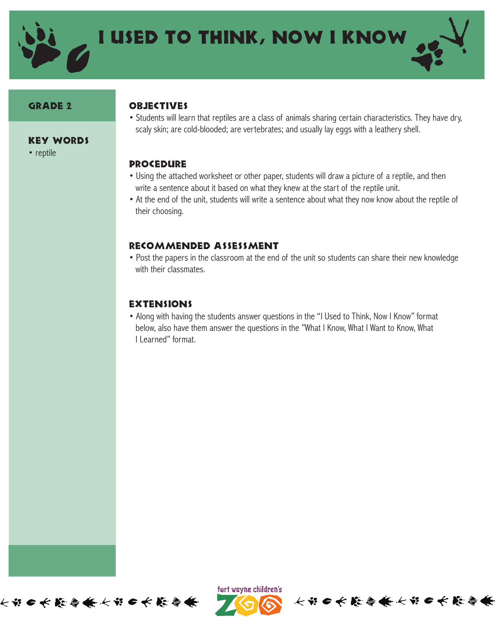

#### Grade 2

• reptile

Key Words

#### **OBJECTIVES**

• Students will learn that reptiles are a class of animals sharing certain characteristics. They have dry, scaly skin; are cold-blooded; are vertebrates; and usually lay eggs with a leathery shell.

### **PROCEDURE**

- Using the attached worksheet or other paper, students will draw a picture of a reptile, and then write a sentence about it based on what they knew at the start of the reptile unit.
- At the end of the unit, students will write a sentence about what they now know about the reptile of their choosing.

#### Recommended Assessment

• Post the papers in the classroom at the end of the unit so students can share their new knowledge with their classmates.

## **EXTENSIONS**

• Along with having the students answer questions in the "I Used to Think, Now I Know" format below, also have them answer the questions in the "What I Know, What I Want to Know, What I Learned" format.





长节●长能会兼长节●长能会